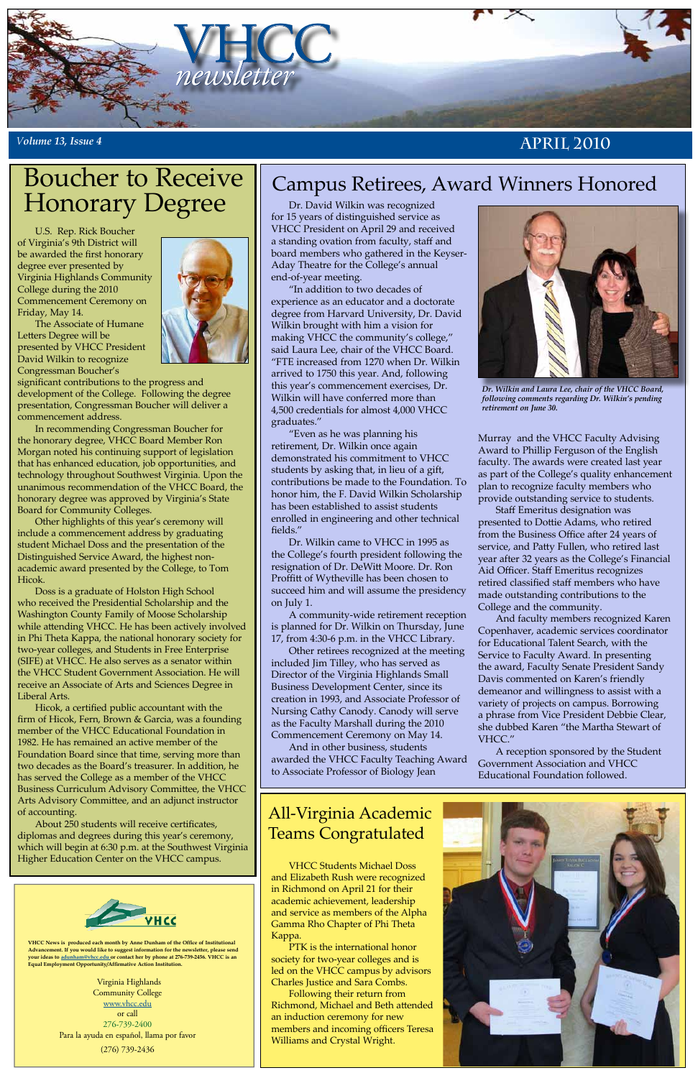

### *<sup>V</sup>olume 13, Issue 4* **April 2010**

**VHCC News is produced each month by Anne Dunham of the Office of Institutional Advancement. If you would like to suggest information for the newsletter, please send your ideas to [adunham@vhcc.edu or](mailto:adunham@vhcc.edu) contact her by phone at 276-739-2456. VHCC is an Equal Employment Opportunity/Affirmative Action Institution.**

> Virginia Highlands Community College [www.vhcc.edu](http://www.vhcc.edu) or call 276-739-2400 Para la ayuda en español, llama por favor (276) 739-2436

U.S. Rep. Rick Boucher of Virginia's 9th District will be awarded the first honorary degree ever presented by Virginia Highlands Community College during the 2010 Commencement Ceremony on Friday, May 14.

The Associate of Humane Letters Degree will be presented by VHCC President David Wilkin to recognize Congressman Boucher's



significant contributions to the progress and development of the College. Following the degree presentation, Congressman Boucher will deliver a commencement address.

In recommending Congressman Boucher for the honorary degree, VHCC Board Member Ron Morgan noted his continuing support of legislation that has enhanced education, job opportunities, and technology throughout Southwest Virginia. Upon the unanimous recommendation of the VHCC Board, the honorary degree was approved by Virginia's State Board for Community Colleges.

Other highlights of this year's ceremony will include a commencement address by graduating student Michael Doss and the presentation of the Distinguished Service Award, the highest nonacademic award presented by the College, to Tom Hicok.

Doss is a graduate of Holston High School who received the Presidential Scholarship and the Washington County Family of Moose Scholarship while attending VHCC. He has been actively involved in Phi Theta Kappa, the national honorary society for two-year colleges, and Students in Free Enterprise (SIFE) at VHCC. He also serves as a senator within the VHCC Student Government Association. He will receive an Associate of Arts and Sciences Degree in Liberal Arts.

Hicok, a certified public accountant with the firm of Hicok, Fern, Brown & Garcia, was a founding member of the VHCC Educational Foundation in 1982. He has remained an active member of the Foundation Board since that time, serving more than two decades as the Board's treasurer. In addition, he has served the College as a member of the VHCC Business Curriculum Advisory Committee, the VHCC Arts Advisory Committee, and an adjunct instructor of accounting. About 250 students will receive certificates, diplomas and degrees during this year's ceremony, which will begin at 6:30 p.m. at the Southwest Virginia Higher Education Center on the VHCC campus.

# Boucher to Receive Honorary Degree

## All-Virginia Academic Teams Congratulated

VHCC Students Michael Doss and Elizabeth Rush were recognized in Richmond on April 21 for their academic achievement, leadership and service as members of the Alpha Gamma Rho Chapter of Phi Theta Kappa.

PTK is the international honor society for two-year colleges and is led on the VHCC campus by advisors Charles Justice and Sara Combs.

Following their return from Richmond, Michael and Beth attended an induction ceremony for new members and incoming officers Teresa Williams and Crystal Wright.



Dr. David Wilkin was recognized for 15 years of distinguished service as VHCC President on April 29 and received a standing ovation from faculty, staff and board members who gathered in the Keyser-Aday Theatre for the College's annual end-of-year meeting.

"In addition to two decades of experience as an educator and a doctorate degree from Harvard University, Dr. David Wilkin brought with him a vision for making VHCC the community's college," said Laura Lee, chair of the VHCC Board. "FTE increased from 1270 when Dr. Wilkin arrived to 1750 this year. And, following this year's commencement exercises, Dr. Wilkin will have conferred more than 4,500 credentials for almost 4,000 VHCC graduates."

"Even as he was planning his retirement, Dr. Wilkin once again demonstrated his commitment to VHCC students by asking that, in lieu of a gift, contributions be made to the Foundation. To honor him, the F. David Wilkin Scholarship has been established to assist students enrolled in engineering and other technical fields."

Dr. Wilkin came to VHCC in 1995 as the College's fourth president following the resignation of Dr. DeWitt Moore. Dr. Ron Proffitt of Wytheville has been chosen to succeed him and will assume the presidency on July 1.

A community-wide retirement reception is planned for Dr. Wilkin on Thursday, June 17, from 4:30-6 p.m. in the VHCC Library.

Other retirees recognized at the meeting included Jim Tilley, who has served as Director of the Virginia Highlands Small Business Development Center, since its creation in 1993, and Associate Professor of Nursing Cathy Canody. Canody will serve as the Faculty Marshall during the 2010 Commencement Ceremony on May 14.

And in other business, students awarded the VHCC Faculty Teaching Award to Associate Professor of Biology Jean

Murray and the VHCC Faculty Advising Award to Phillip Ferguson of the English faculty. The awards were created last year as part of the College's quality enhancement plan to recognize faculty members who provide outstanding service to students.

Staff Emeritus designation was presented to Dottie Adams, who retired from the Business Office after 24 years of service, and Patty Fullen, who retired last year after 32 years as the College's Financial Aid Officer. Staff Emeritus recognizes retired classified staff members who have made outstanding contributions to the College and the community.

And faculty members recognized Karen Copenhaver, academic services coordinator for Educational Talent Search, with the Service to Faculty Award. In presenting the award, Faculty Senate President Sandy Davis commented on Karen's friendly demeanor and willingness to assist with a variety of projects on campus. Borrowing a phrase from Vice President Debbie Clear, she dubbed Karen "the Martha Stewart of VHCC."

A reception sponsored by the Student Government Association and VHCC Educational Foundation followed.



# Campus Retirees, Award Winners Honored



*Dr. Wilkin and Laura Lee, chair of the VHCC Board, following comments regarding Dr. Wilkin's pending retirement on June 30.*